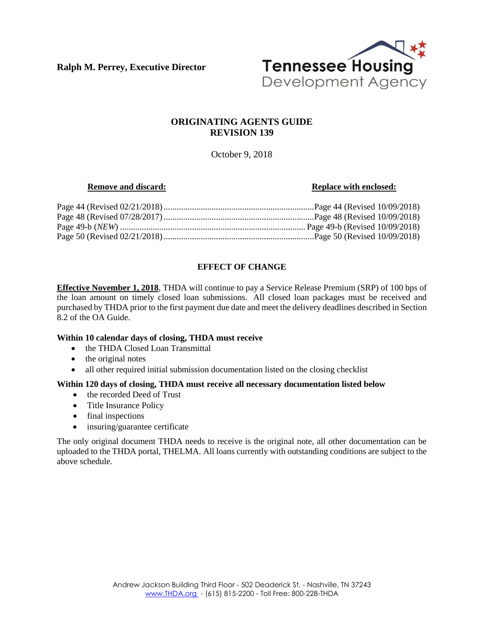**Ralph M. Perrey, Executive Director**



# **ORIGINATING AGENTS GUIDE REVISION 139**

October 9, 2018

### **Remove and discard: Replace with enclosed: Replace with enclosed:**

# **EFFECT OF CHANGE**

**Effective November 1, 2018**, THDA will continue to pay a Service Release Premium (SRP) of 100 bps of the loan amount on timely closed loan submissions. All closed loan packages must be received and purchased by THDA prior to the first payment due date and meet the delivery deadlines described in Section 8.2 of the OA Guide.

### **Within 10 calendar days of closing, THDA must receive**

- the THDA Closed Loan Transmittal
- the original notes
- all other required initial submission documentation listed on the closing checklist

### **Within 120 days of closing, THDA must receive all necessary documentation listed below**

- the recorded Deed of Trust
- Title Insurance Policy
- final inspections
- insuring/guarantee certificate

The only original document THDA needs to receive is the original note, all other documentation can be uploaded to the THDA portal, THELMA. All loans currently with outstanding conditions are subject to the above schedule.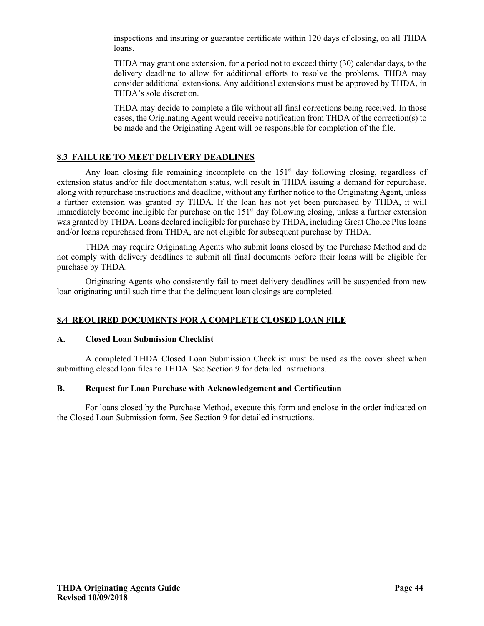inspections and insuring or guarantee certificate within 120 days of closing, on all THDA loans.

THDA may grant one extension, for a period not to exceed thirty (30) calendar days, to the delivery deadline to allow for additional efforts to resolve the problems. THDA may consider additional extensions. Any additional extensions must be approved by THDA, in THDA's sole discretion.

THDA may decide to complete a file without all final corrections being received. In those cases, the Originating Agent would receive notification from THDA of the correction(s) to be made and the Originating Agent will be responsible for completion of the file.

# **8.3 FAILURE TO MEET DELIVERY DEADLINES**

Any loan closing file remaining incomplete on the  $151<sup>st</sup>$  day following closing, regardless of extension status and/or file documentation status, will result in THDA issuing a demand for repurchase, along with repurchase instructions and deadline, without any further notice to the Originating Agent, unless a further extension was granted by THDA. If the loan has not yet been purchased by THDA, it will immediately become ineligible for purchase on the  $151<sup>st</sup>$  day following closing, unless a further extension was granted by THDA. Loans declared ineligible for purchase by THDA, including Great Choice Plus loans and/or loans repurchased from THDA, are not eligible for subsequent purchase by THDA.

THDA may require Originating Agents who submit loans closed by the Purchase Method and do not comply with delivery deadlines to submit all final documents before their loans will be eligible for purchase by THDA.

Originating Agents who consistently fail to meet delivery deadlines will be suspended from new loan originating until such time that the delinquent loan closings are completed.

# **8.4 REQUIRED DOCUMENTS FOR A COMPLETE CLOSED LOAN FILE**

### **A. Closed Loan Submission Checklist**

A completed THDA Closed Loan Submission Checklist must be used as the cover sheet when submitting closed loan files to THDA. See Section 9 for detailed instructions.

#### **B. Request for Loan Purchase with Acknowledgement and Certification**

For loans closed by the Purchase Method, execute this form and enclose in the order indicated on the Closed Loan Submission form. See Section 9 for detailed instructions.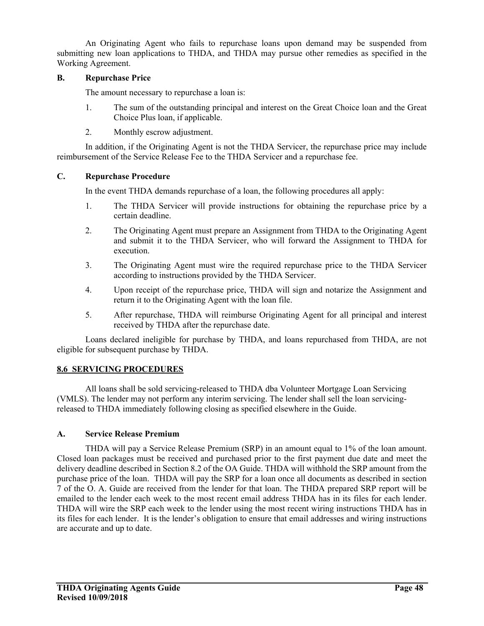An Originating Agent who fails to repurchase loans upon demand may be suspended from submitting new loan applications to THDA, and THDA may pursue other remedies as specified in the Working Agreement.

### **B. Repurchase Price**

The amount necessary to repurchase a loan is:

- 1. The sum of the outstanding principal and interest on the Great Choice loan and the Great Choice Plus loan, if applicable.
- 2. Monthly escrow adjustment.

In addition, if the Originating Agent is not the THDA Servicer, the repurchase price may include reimbursement of the Service Release Fee to the THDA Servicer and a repurchase fee.

#### **C. Repurchase Procedure**

In the event THDA demands repurchase of a loan, the following procedures all apply:

- 1. The THDA Servicer will provide instructions for obtaining the repurchase price by a certain deadline.
- 2. The Originating Agent must prepare an Assignment from THDA to the Originating Agent and submit it to the THDA Servicer, who will forward the Assignment to THDA for execution.
- 3. The Originating Agent must wire the required repurchase price to the THDA Servicer according to instructions provided by the THDA Servicer.
- 4. Upon receipt of the repurchase price, THDA will sign and notarize the Assignment and return it to the Originating Agent with the loan file.
- 5. After repurchase, THDA will reimburse Originating Agent for all principal and interest received by THDA after the repurchase date.

Loans declared ineligible for purchase by THDA, and loans repurchased from THDA, are not eligible for subsequent purchase by THDA.

### **8.6 SERVICING PROCEDURES**

All loans shall be sold servicing-released to THDA dba Volunteer Mortgage Loan Servicing (VMLS). The lender may not perform any interim servicing. The lender shall sell the loan servicingreleased to THDA immediately following closing as specified elsewhere in the Guide.

#### **A. Service Release Premium**

THDA will pay a Service Release Premium (SRP) in an amount equal to 1% of the loan amount. Closed loan packages must be received and purchased prior to the first payment due date and meet the delivery deadline described in Section 8.2 of the OA Guide. THDA will withhold the SRP amount from the purchase price of the loan. THDA will pay the SRP for a loan once all documents as described in section 7 of the O. A. Guide are received from the lender for that loan. The THDA prepared SRP report will be emailed to the lender each week to the most recent email address THDA has in its files for each lender. THDA will wire the SRP each week to the lender using the most recent wiring instructions THDA has in its files for each lender. It is the lender's obligation to ensure that email addresses and wiring instructions are accurate and up to date.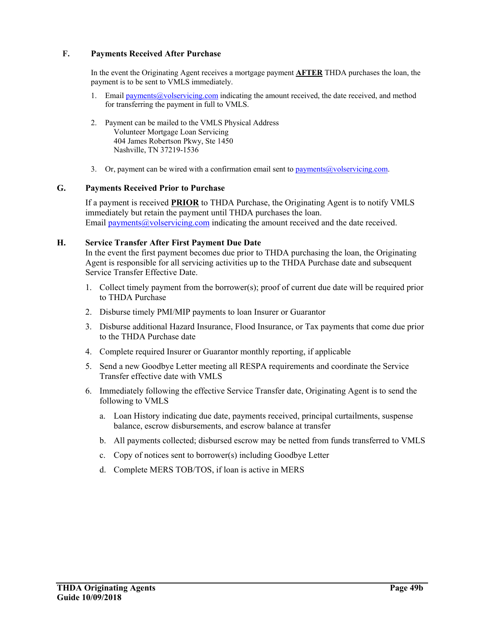### **F. Payments Received After Purchase**

In the event the Originating Agent receives a mortgage payment **AFTER** THDA purchases the loan, the payment is to be sent to VMLS immediately.

- 1. Email payments@volservicing.com indicating the amount received, the date received, and method for transferring the payment in full to VMLS.
- 2. Payment can be mailed to the VMLS Physical Address Volunteer Mortgage Loan Servicing 404 James Robertson Pkwy, Ste 1450 Nashville, TN 37219-1536
- 3. Or, payment can be wired with a confirmation email sent to payments  $@$  volservicing.com.

#### **G. Payments Received Prior to Purchase**

If a payment is received **PRIOR** to THDA Purchase, the Originating Agent is to notify VMLS immediately but retain the payment until THDA purchases the loan. Email payments@volservicing.com indicating the amount received and the date received.

#### **H. Service Transfer After First Payment Due Date**

In the event the first payment becomes due prior to THDA purchasing the loan, the Originating Agent is responsible for all servicing activities up to the THDA Purchase date and subsequent Service Transfer Effective Date.

- 1. Collect timely payment from the borrower(s); proof of current due date will be required prior to THDA Purchase
- 2. Disburse timely PMI/MIP payments to loan Insurer or Guarantor
- 3. Disburse additional Hazard Insurance, Flood Insurance, or Tax payments that come due prior to the THDA Purchase date
- 4. Complete required Insurer or Guarantor monthly reporting, if applicable
- 5. Send a new Goodbye Letter meeting all RESPA requirements and coordinate the Service Transfer effective date with VMLS
- 6. Immediately following the effective Service Transfer date, Originating Agent is to send the following to VMLS
	- a. Loan History indicating due date, payments received, principal curtailments, suspense balance, escrow disbursements, and escrow balance at transfer
	- b. All payments collected; disbursed escrow may be netted from funds transferred to VMLS
	- c. Copy of notices sent to borrower(s) including Goodbye Letter
	- d. Complete MERS TOB/TOS, if loan is active in MERS